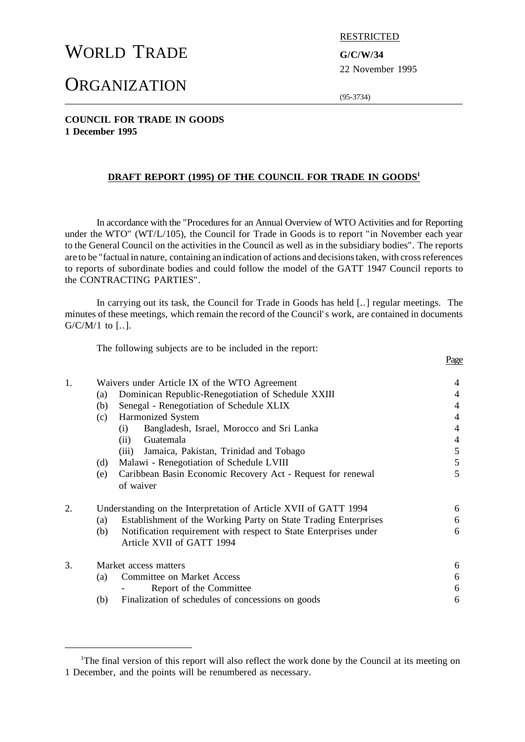# WORLD TRADE **G/C/W/34**

# **ORGANIZATION**

RESTRICTED

22 November 1995

Page

(95-3734)

## **COUNCIL FOR TRADE IN GOODS 1 December 1995**

## **DRAFT REPORT (1995) OF THE COUNCIL FOR TRADE IN GOODS<sup>1</sup>**

In accordance with the "Procedures for an Annual Overview of WTO Activities and for Reporting under the WTO" (WT/L/105), the Council for Trade in Goods is to report "in November each year to the General Council on the activities in the Council as well as in the subsidiary bodies". The reports are to be "factual in nature, containing an indication of actions and decisionstaken, with crossreferences to reports of subordinate bodies and could follow the model of the GATT 1947 Council reports to the CONTRACTING PARTIES".

In carrying out its task, the Council for Trade in Goods has held [..] regular meetings. The minutes of these meetings, which remain the record of the Council's work, are contained in documents  $G/C/M/1$  to [..].

The following subjects are to be included in the report:

| 1. | Waivers under Article IX of the WTO Agreement                           | 4              |
|----|-------------------------------------------------------------------------|----------------|
|    | Dominican Republic-Renegotiation of Schedule XXIII<br>(a)               | $\overline{4}$ |
|    | Senegal - Renegotiation of Schedule XLIX<br>(b)                         | $\overline{4}$ |
|    | Harmonized System<br>(c)                                                | 4              |
|    | Bangladesh, Israel, Morocco and Sri Lanka<br>(i)                        | $\overline{4}$ |
|    | Guatemala<br>(ii)                                                       | $\overline{4}$ |
|    | Jamaica, Pakistan, Trinidad and Tobago<br>(iii)                         | 5              |
|    | Malawi - Renegotiation of Schedule LVIII<br>(d)                         | 5              |
|    | Caribbean Basin Economic Recovery Act - Request for renewal<br>(e)      | 5              |
|    | of waiver                                                               |                |
| 2. | Understanding on the Interpretation of Article XVII of GATT 1994        | 6              |
|    | Establishment of the Working Party on State Trading Enterprises<br>(a)  | 6              |
|    | Notification requirement with respect to State Enterprises under<br>(b) | 6              |
|    | Article XVII of GATT 1994                                               |                |
| 3. | Market access matters                                                   | 6              |
|    | <b>Committee on Market Access</b><br>(a)                                | 6              |
|    | Report of the Committee                                                 | 6              |
|    | Finalization of schedules of concessions on goods<br>(b)                | 6              |
|    |                                                                         |                |

<sup>&</sup>lt;sup>1</sup>The final version of this report will also reflect the work done by the Council at its meeting on 1 December, and the points will be renumbered as necessary.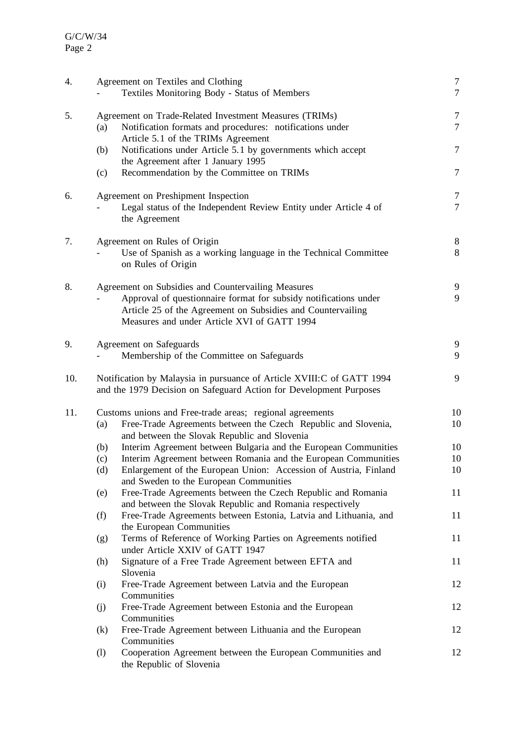| 4.  |                              | Agreement on Textiles and Clothing<br>Textiles Monitoring Body - Status of Members                                                                                                                                                   | $\tau$<br>$\overline{7}$ |
|-----|------------------------------|--------------------------------------------------------------------------------------------------------------------------------------------------------------------------------------------------------------------------------------|--------------------------|
| 5.  | (a)                          | Agreement on Trade-Related Investment Measures (TRIMs)<br>Notification formats and procedures: notifications under                                                                                                                   | $\tau$<br>$\overline{7}$ |
|     | (b)                          | Article 5.1 of the TRIMs Agreement<br>Notifications under Article 5.1 by governments which accept<br>the Agreement after 1 January 1995                                                                                              | $\tau$                   |
|     | (c)                          | Recommendation by the Committee on TRIMs                                                                                                                                                                                             | $\overline{7}$           |
| 6.  |                              | Agreement on Preshipment Inspection<br>Legal status of the Independent Review Entity under Article 4 of<br>the Agreement                                                                                                             | 7<br>$\overline{7}$      |
| 7.  |                              | Agreement on Rules of Origin<br>Use of Spanish as a working language in the Technical Committee<br>on Rules of Origin                                                                                                                | $8\phantom{.}$<br>8      |
| 8.  |                              | Agreement on Subsidies and Countervailing Measures<br>Approval of questionnaire format for subsidy notifications under<br>Article 25 of the Agreement on Subsidies and Countervailing<br>Measures and under Article XVI of GATT 1994 | 9<br>9                   |
| 9.  |                              | Agreement on Safeguards<br>Membership of the Committee on Safeguards                                                                                                                                                                 | 9<br>9                   |
| 10. |                              | Notification by Malaysia in pursuance of Article XVIII: C of GATT 1994<br>and the 1979 Decision on Safeguard Action for Development Purposes                                                                                         | 9                        |
| 11. | (a)                          | Customs unions and Free-trade areas; regional agreements<br>Free-Trade Agreements between the Czech Republic and Slovenia,                                                                                                           | 10<br>10                 |
|     | (b)                          | and between the Slovak Republic and Slovenia<br>Interim Agreement between Bulgaria and the European Communities                                                                                                                      | 10                       |
|     | (c)                          | Interim Agreement between Romania and the European Communities                                                                                                                                                                       | 10                       |
|     | (d)                          | Enlargement of the European Union: Accession of Austria, Finland<br>and Sweden to the European Communities                                                                                                                           | 10                       |
|     | (e)                          | Free-Trade Agreements between the Czech Republic and Romania<br>and between the Slovak Republic and Romania respectively                                                                                                             | 11                       |
|     | (f)                          | Free-Trade Agreements between Estonia, Latvia and Lithuania, and<br>the European Communities                                                                                                                                         | 11                       |
|     | (g)                          | Terms of Reference of Working Parties on Agreements notified<br>under Article XXIV of GATT 1947                                                                                                                                      | 11                       |
|     | (h)                          | Signature of a Free Trade Agreement between EFTA and<br>Slovenia                                                                                                                                                                     | 11                       |
|     | (i)                          | Free-Trade Agreement between Latvia and the European<br>Communities                                                                                                                                                                  | 12                       |
|     | (j)                          | Free-Trade Agreement between Estonia and the European<br>Communities                                                                                                                                                                 | 12                       |
|     | (k)                          | Free-Trade Agreement between Lithuania and the European<br>Communities                                                                                                                                                               | 12                       |
|     | $\left( \frac{1}{2} \right)$ | Cooperation Agreement between the European Communities and<br>the Republic of Slovenia                                                                                                                                               | 12                       |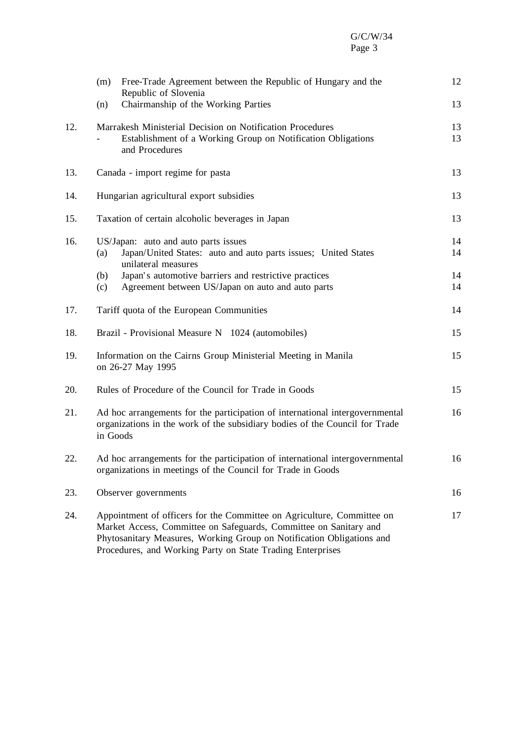# G/C/W/34 Page 3

|     | Free-Trade Agreement between the Republic of Hungary and the<br>(m)<br>Republic of Slovenia                                                                                                                                                                                        | 12       |
|-----|------------------------------------------------------------------------------------------------------------------------------------------------------------------------------------------------------------------------------------------------------------------------------------|----------|
|     | Chairmanship of the Working Parties<br>(n)                                                                                                                                                                                                                                         | 13       |
| 12. | Marrakesh Ministerial Decision on Notification Procedures<br>Establishment of a Working Group on Notification Obligations<br>and Procedures                                                                                                                                        | 13<br>13 |
| 13. | Canada - import regime for pasta                                                                                                                                                                                                                                                   | 13       |
| 14. | Hungarian agricultural export subsidies                                                                                                                                                                                                                                            | 13       |
| 15. | Taxation of certain alcoholic beverages in Japan                                                                                                                                                                                                                                   | 13       |
| 16. | US/Japan: auto and auto parts issues<br>Japan/United States: auto and auto parts issues; United States<br>(a)<br>unilateral measures                                                                                                                                               | 14<br>14 |
|     | Japan's automotive barriers and restrictive practices<br>(b)<br>Agreement between US/Japan on auto and auto parts<br>(c)                                                                                                                                                           | 14<br>14 |
| 17. | Tariff quota of the European Communities                                                                                                                                                                                                                                           | 14       |
| 18. | Brazil - Provisional Measure N 1024 (automobiles)                                                                                                                                                                                                                                  | 15       |
| 19. | Information on the Cairns Group Ministerial Meeting in Manila<br>on 26-27 May 1995                                                                                                                                                                                                 | 15       |
| 20. | Rules of Procedure of the Council for Trade in Goods                                                                                                                                                                                                                               | 15       |
| 21. | Ad hoc arrangements for the participation of international intergovernmental<br>organizations in the work of the subsidiary bodies of the Council for Trade<br>in Goods                                                                                                            |          |
| 22. | Ad hoc arrangements for the participation of international intergovernmental<br>organizations in meetings of the Council for Trade in Goods                                                                                                                                        | 16       |
| 23. | Observer governments                                                                                                                                                                                                                                                               | 16       |
| 24. | Appointment of officers for the Committee on Agriculture, Committee on<br>Market Access, Committee on Safeguards, Committee on Sanitary and<br>Phytosanitary Measures, Working Group on Notification Obligations and<br>Procedures, and Working Party on State Trading Enterprises | 17       |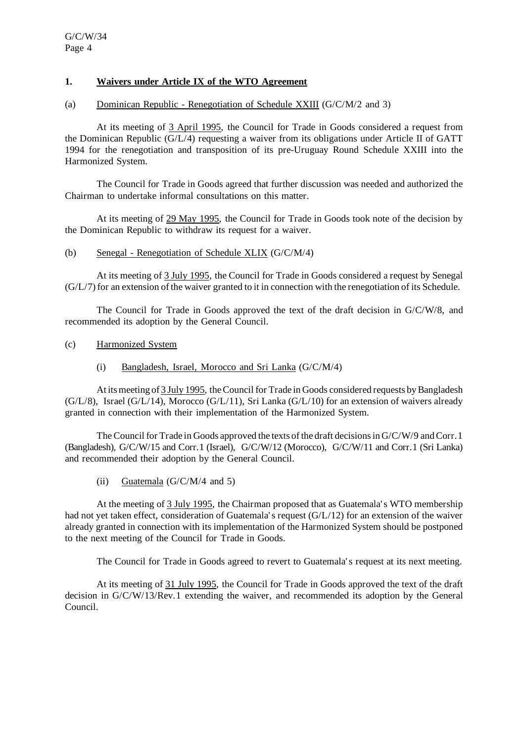# **1. Waivers under Article IX of the WTO Agreement**

#### (a) Dominican Republic - Renegotiation of Schedule XXIII (G/C/M/2 and 3)

At its meeting of 3 April 1995, the Council for Trade in Goods considered a request from the Dominican Republic (G/L/4) requesting a waiver from its obligations under Article II of GATT 1994 for the renegotiation and transposition of its pre-Uruguay Round Schedule XXIII into the Harmonized System.

The Council for Trade in Goods agreed that further discussion was needed and authorized the Chairman to undertake informal consultations on this matter.

At its meeting of 29 May 1995, the Council for Trade in Goods took note of the decision by the Dominican Republic to withdraw its request for a waiver.

#### (b) Senegal - Renegotiation of Schedule XLIX (G/C/M/4)

At its meeting of 3 July 1995, the Council for Trade in Goods considered a request by Senegal (G/L/7) for an extension of the waiver granted to it in connection with the renegotiation of its Schedule.

The Council for Trade in Goods approved the text of the draft decision in G/C/W/8, and recommended its adoption by the General Council.

- (c) Harmonized System
	- (i) Bangladesh, Israel, Morocco and Sri Lanka (G/C/M/4)

At its meeting of 3 July 1995, the Council for Trade in Goods considered requests by Bangladesh  $(G/L/8)$ , Israel  $(G/L/14)$ , Morocco  $(G/L/11)$ , Sri Lanka  $(G/L/10)$  for an extension of waivers already granted in connection with their implementation of the Harmonized System.

The Council for Trade in Goods approved the texts of the draft decisions in  $G/C/W/9$  and Corr. 1 (Bangladesh), G/C/W/15 and Corr.1 (Israel), G/C/W/12 (Morocco), G/C/W/11 and Corr.1 (Sri Lanka) and recommended their adoption by the General Council.

(ii) Guatemala  $(G/C/M/4$  and 5)

At the meeting of 3 July 1995, the Chairman proposed that as Guatemala's WTO membership had not yet taken effect, consideration of Guatemala's request (G/L/12) for an extension of the waiver already granted in connection with its implementation of the Harmonized System should be postponed to the next meeting of the Council for Trade in Goods.

The Council for Trade in Goods agreed to revert to Guatemala's request at its next meeting.

At its meeting of 31 July 1995, the Council for Trade in Goods approved the text of the draft decision in G/C/W/13/Rev.1 extending the waiver, and recommended its adoption by the General Council.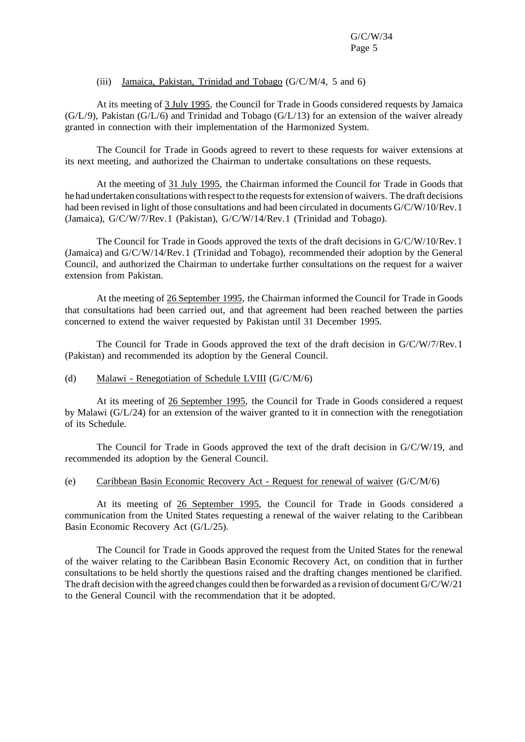## (iii) Jamaica, Pakistan, Trinidad and Tobago (G/C/M/4, 5 and 6)

At its meeting of 3 July 1995, the Council for Trade in Goods considered requests by Jamaica (G/L/9), Pakistan (G/L/6) and Trinidad and Tobago (G/L/13) for an extension of the waiver already granted in connection with their implementation of the Harmonized System.

The Council for Trade in Goods agreed to revert to these requests for waiver extensions at its next meeting, and authorized the Chairman to undertake consultations on these requests.

At the meeting of 31 July 1995, the Chairman informed the Council for Trade in Goods that he had undertaken consultations with respect to the requests for extension of waivers. The draft decisions had been revised in light of those consultations and had been circulated in documents G/C/W/10/Rev.1 (Jamaica), G/C/W/7/Rev.1 (Pakistan), G/C/W/14/Rev.1 (Trinidad and Tobago).

The Council for Trade in Goods approved the texts of the draft decisions in G/C/W/10/Rev.1 (Jamaica) and G/C/W/14/Rev.1 (Trinidad and Tobago), recommended their adoption by the General Council, and authorized the Chairman to undertake further consultations on the request for a waiver extension from Pakistan.

At the meeting of 26 September 1995, the Chairman informed the Council for Trade in Goods that consultations had been carried out, and that agreement had been reached between the parties concerned to extend the waiver requested by Pakistan until 31 December 1995.

The Council for Trade in Goods approved the text of the draft decision in G/C/W/7/Rev.1 (Pakistan) and recommended its adoption by the General Council.

#### (d) Malawi - Renegotiation of Schedule LVIII  $(G/C/M/6)$

At its meeting of 26 September 1995, the Council for Trade in Goods considered a request by Malawi (G/L/24) for an extension of the waiver granted to it in connection with the renegotiation of its Schedule.

The Council for Trade in Goods approved the text of the draft decision in G/C/W/19, and recommended its adoption by the General Council.

#### (e) Caribbean Basin Economic Recovery Act - Request for renewal of waiver (G/C/M/6)

At its meeting of 26 September 1995, the Council for Trade in Goods considered a communication from the United States requesting a renewal of the waiver relating to the Caribbean Basin Economic Recovery Act (G/L/25).

The Council for Trade in Goods approved the request from the United States for the renewal of the waiver relating to the Caribbean Basin Economic Recovery Act, on condition that in further consultations to be held shortly the questions raised and the drafting changes mentioned be clarified. The draft decision with the agreed changes could then be forwarded as a revision of document G/C/W/21 to the General Council with the recommendation that it be adopted.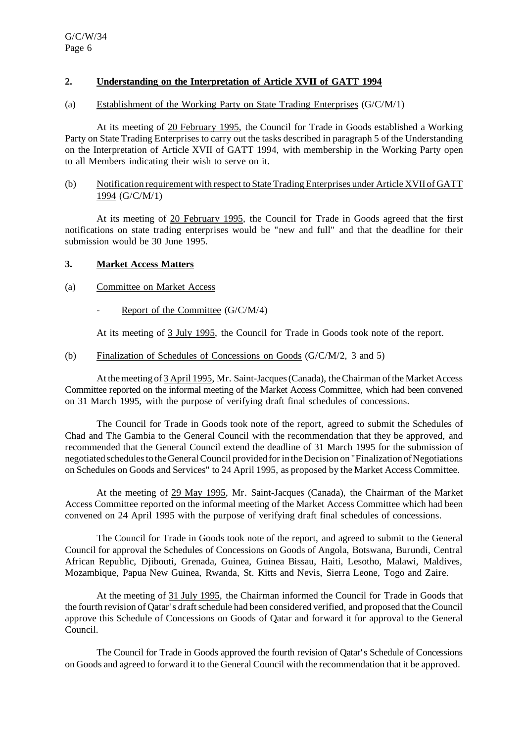# **2. Understanding on the Interpretation of Article XVII of GATT 1994**

### (a) Establishment of the Working Party on State Trading Enterprises (G/C/M/1)

At its meeting of 20 February 1995, the Council for Trade in Goods established a Working Party on State Trading Enterprises to carry out the tasks described in paragraph 5 of the Understanding on the Interpretation of Article XVII of GATT 1994, with membership in the Working Party open to all Members indicating their wish to serve on it.

### (b) Notification requirement with respect to State TradingEnterprises under Article XVII of GATT 1994 (G/C/M/1)

At its meeting of 20 February 1995, the Council for Trade in Goods agreed that the first notifications on state trading enterprises would be "new and full" and that the deadline for their submission would be 30 June 1995.

### **3. Market Access Matters**

- (a) Committee on Market Access
	- Report of the Committee (G/C/M/4)

At its meeting of 3 July 1995, the Council for Trade in Goods took note of the report.

(b) Finalization of Schedules of Concessions on Goods (G/C/M/2, 3 and 5)

At the meeting of 3 April 1995, Mr. Saint-Jacques (Canada), the Chairman of the Market Access Committee reported on the informal meeting of the Market Access Committee, which had been convened on 31 March 1995, with the purpose of verifying draft final schedules of concessions.

The Council for Trade in Goods took note of the report, agreed to submit the Schedules of Chad and The Gambia to the General Council with the recommendation that they be approved, and recommended that the General Council extend the deadline of 31 March 1995 for the submission of negotiated schedules to the General Council provided for in the Decision on "Finalization of Negotiations" on Schedules on Goods and Services" to 24 April 1995, as proposed by the Market Access Committee.

At the meeting of 29 May 1995, Mr. Saint-Jacques (Canada), the Chairman of the Market Access Committee reported on the informal meeting of the Market Access Committee which had been convened on 24 April 1995 with the purpose of verifying draft final schedules of concessions.

The Council for Trade in Goods took note of the report, and agreed to submit to the General Council for approval the Schedules of Concessions on Goods of Angola, Botswana, Burundi, Central African Republic, Djibouti, Grenada, Guinea, Guinea Bissau, Haiti, Lesotho, Malawi, Maldives, Mozambique, Papua New Guinea, Rwanda, St. Kitts and Nevis, Sierra Leone, Togo and Zaire.

At the meeting of 31 July 1995, the Chairman informed the Council for Trade in Goods that the fourth revision of Qatar's draftschedule had been considered verified, and proposed that the Council approve this Schedule of Concessions on Goods of Qatar and forward it for approval to the General Council.

The Council for Trade in Goods approved the fourth revision of Qatar's Schedule of Concessions on Goods and agreed to forward it to the General Council with the recommendation that it be approved.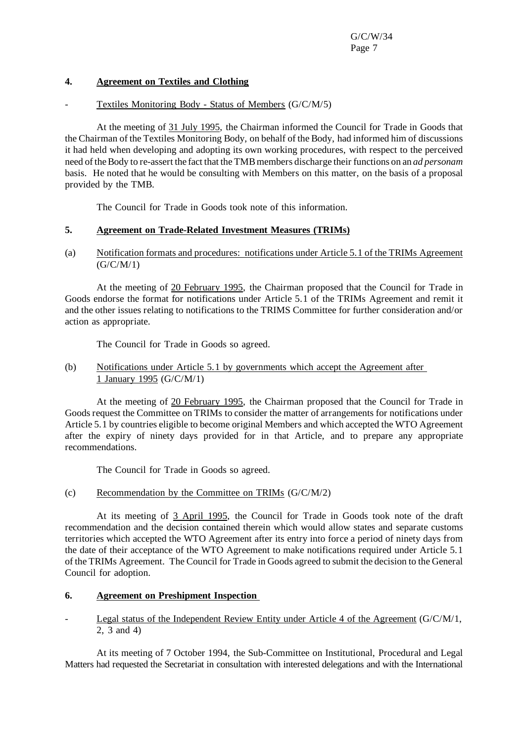## **4. Agreement on Textiles and Clothing**

## Textiles Monitoring Body - Status of Members (G/C/M/5)

At the meeting of 31 July 1995, the Chairman informed the Council for Trade in Goods that the Chairman of the Textiles Monitoring Body, on behalf of the Body, had informed him of discussions it had held when developing and adopting its own working procedures, with respect to the perceived need of the Body to re-assert the fact that the TMB members discharge their functions on an *ad personam* basis. He noted that he would be consulting with Members on this matter, on the basis of a proposal provided by the TMB.

The Council for Trade in Goods took note of this information.

## **5. Agreement on Trade-Related Investment Measures (TRIMs)**

(a) Notification formats and procedures: notifications under Article 5.1 of the TRIMs Agreement  $(G/C/M/1)$ 

At the meeting of 20 February 1995, the Chairman proposed that the Council for Trade in Goods endorse the format for notifications under Article 5.1 of the TRIMs Agreement and remit it and the other issues relating to notifications to the TRIMS Committee for further consideration and/or action as appropriate.

The Council for Trade in Goods so agreed.

## (b) Notifications under Article 5.1 by governments which accept the Agreement after 1 January 1995 (G/C/M/1)

At the meeting of 20 February 1995, the Chairman proposed that the Council for Trade in Goods request the Committee on TRIMs to consider the matter of arrangements for notifications under Article 5.1 by countries eligible to become original Members and which accepted the WTO Agreement after the expiry of ninety days provided for in that Article, and to prepare any appropriate recommendations.

The Council for Trade in Goods so agreed.

### (c) Recommendation by the Committee on TRIMs (G/C/M/2)

At its meeting of 3 April 1995, the Council for Trade in Goods took note of the draft recommendation and the decision contained therein which would allow states and separate customs territories which accepted the WTO Agreement after its entry into force a period of ninety days from the date of their acceptance of the WTO Agreement to make notifications required under Article 5.1 of the TRIMs Agreement. The Council for Trade in Goods agreed to submit the decision to the General Council for adoption.

# **6. Agreement on Preshipment Inspection**

## Legal status of the Independent Review Entity under Article 4 of the Agreement ( $G/C/M/1$ , 2, 3 and 4)

At its meeting of 7 October 1994, the Sub-Committee on Institutional, Procedural and Legal Matters had requested the Secretariat in consultation with interested delegations and with the International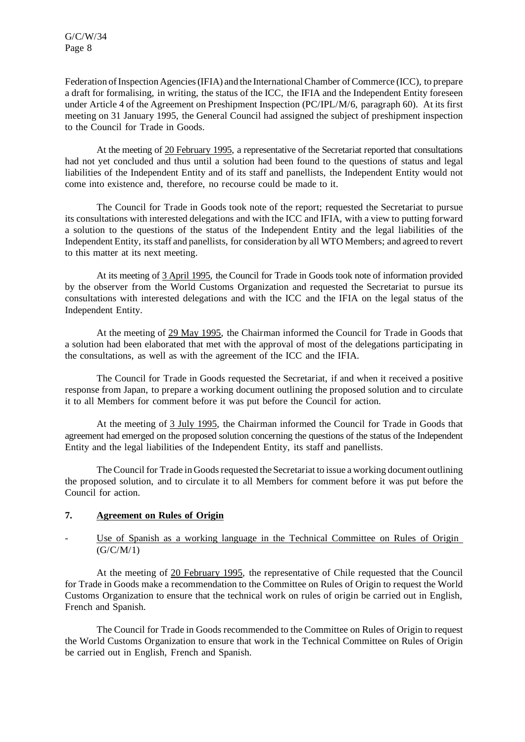Federation ofInspection Agencies(IFIA) and the InternationalChamber ofCommerce (ICC), to prepare a draft for formalising, in writing, the status of the ICC, the IFIA and the Independent Entity foreseen under Article 4 of the Agreement on Preshipment Inspection (PC/IPL/M/6, paragraph 60). At its first meeting on 31 January 1995, the General Council had assigned the subject of preshipment inspection to the Council for Trade in Goods.

At the meeting of 20 February 1995, a representative of the Secretariat reported that consultations had not yet concluded and thus until a solution had been found to the questions of status and legal liabilities of the Independent Entity and of its staff and panellists, the Independent Entity would not come into existence and, therefore, no recourse could be made to it.

The Council for Trade in Goods took note of the report; requested the Secretariat to pursue its consultations with interested delegations and with the ICC and IFIA, with a view to putting forward a solution to the questions of the status of the Independent Entity and the legal liabilities of the Independent Entity, itsstaff and panellists, for consideration by all WTO Members; and agreed to revert to this matter at its next meeting.

At its meeting of 3 April 1995, the Council for Trade in Goods took note of information provided by the observer from the World Customs Organization and requested the Secretariat to pursue its consultations with interested delegations and with the ICC and the IFIA on the legal status of the Independent Entity.

At the meeting of 29 May 1995, the Chairman informed the Council for Trade in Goods that a solution had been elaborated that met with the approval of most of the delegations participating in the consultations, as well as with the agreement of the ICC and the IFIA.

The Council for Trade in Goods requested the Secretariat, if and when it received a positive response from Japan, to prepare a working document outlining the proposed solution and to circulate it to all Members for comment before it was put before the Council for action.

At the meeting of 3 July 1995, the Chairman informed the Council for Trade in Goods that agreement had emerged on the proposed solution concerning the questions of the status of the Independent Entity and the legal liabilities of the Independent Entity, its staff and panellists.

The Council for Trade in Goods requested the Secretariat to issue a working document outlining the proposed solution, and to circulate it to all Members for comment before it was put before the Council for action.

### **7. Agreement on Rules of Origin**

# Use of Spanish as a working language in the Technical Committee on Rules of Origin (G/C/M/1)

At the meeting of 20 February 1995, the representative of Chile requested that the Council for Trade in Goods make a recommendation to the Committee on Rules of Origin to request the World Customs Organization to ensure that the technical work on rules of origin be carried out in English, French and Spanish.

The Council for Trade in Goods recommended to the Committee on Rules of Origin to request the World Customs Organization to ensure that work in the Technical Committee on Rules of Origin be carried out in English, French and Spanish.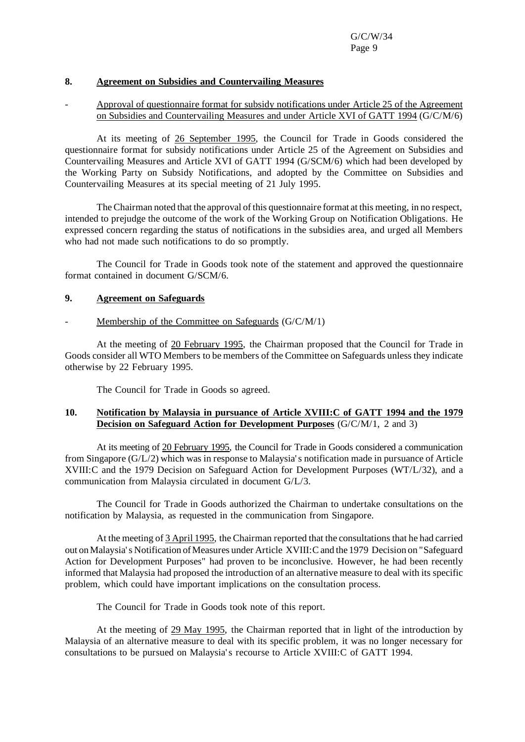### **8. Agreement on Subsidies and Countervailing Measures**

## - Approval of questionnaire format for subsidy notifications under Article 25 of the Agreement on Subsidies and Countervailing Measures and under Article XVI of GATT 1994 (G/C/M/6)

At its meeting of 26 September 1995, the Council for Trade in Goods considered the questionnaire format for subsidy notifications under Article 25 of the Agreement on Subsidies and Countervailing Measures and Article XVI of GATT 1994 (G/SCM/6) which had been developed by the Working Party on Subsidy Notifications, and adopted by the Committee on Subsidies and Countervailing Measures at its special meeting of 21 July 1995.

The Chairman noted that the approval of this questionnaire format at this meeting, in no respect, intended to prejudge the outcome of the work of the Working Group on Notification Obligations. He expressed concern regarding the status of notifications in the subsidies area, and urged all Members who had not made such notifications to do so promptly.

The Council for Trade in Goods took note of the statement and approved the questionnaire format contained in document G/SCM/6.

#### **9. Agreement on Safeguards**

#### Membership of the Committee on Safeguards  $(G/C/M/1)$

At the meeting of 20 February 1995, the Chairman proposed that the Council for Trade in Goods consider all WTO Members to be members of the Committee on Safeguards unless they indicate otherwise by 22 February 1995.

The Council for Trade in Goods so agreed.

### **10. Notification by Malaysia in pursuance of Article XVIII:C of GATT 1994 and the 1979 Decision on Safeguard Action for Development Purposes** (G/C/M/1, 2 and 3)

At its meeting of 20 February 1995, the Council for Trade in Goods considered a communication from Singapore (G/L/2) which was in response to Malaysia's notification made in pursuance of Article XVIII:C and the 1979 Decision on Safeguard Action for Development Purposes (WT/L/32), and a communication from Malaysia circulated in document G/L/3.

The Council for Trade in Goods authorized the Chairman to undertake consultations on the notification by Malaysia, as requested in the communication from Singapore.

At the meeting of 3 April 1995, the Chairman reported that the consultationsthat he had carried out on Malaysia's Notification of Measures under Article XVIII: C and the 1979 Decision on "Safeguard Action for Development Purposes" had proven to be inconclusive. However, he had been recently informed that Malaysia had proposed the introduction of an alternative measure to deal with its specific problem, which could have important implications on the consultation process.

The Council for Trade in Goods took note of this report.

At the meeting of 29 May 1995, the Chairman reported that in light of the introduction by Malaysia of an alternative measure to deal with its specific problem, it was no longer necessary for consultations to be pursued on Malaysia's recourse to Article XVIII:C of GATT 1994.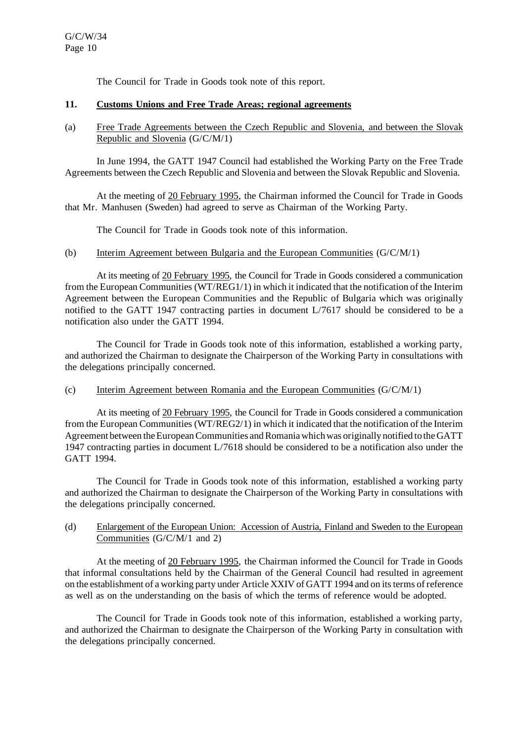The Council for Trade in Goods took note of this report.

### **11. Customs Unions and Free Trade Areas; regional agreements**

(a) Free Trade Agreements between the Czech Republic and Slovenia, and between the Slovak Republic and Slovenia (G/C/M/1)

In June 1994, the GATT 1947 Council had established the Working Party on the Free Trade Agreements between the Czech Republic and Slovenia and between the Slovak Republic and Slovenia.

At the meeting of 20 February 1995, the Chairman informed the Council for Trade in Goods that Mr. Manhusen (Sweden) had agreed to serve as Chairman of the Working Party.

The Council for Trade in Goods took note of this information.

## (b) Interim Agreement between Bulgaria and the European Communities (G/C/M/1)

At its meeting of 20 February 1995, the Council for Trade in Goods considered a communication from the European Communities (WT/REG1/1) in which it indicated that the notification of the Interim Agreement between the European Communities and the Republic of Bulgaria which was originally notified to the GATT 1947 contracting parties in document L/7617 should be considered to be a notification also under the GATT 1994.

The Council for Trade in Goods took note of this information, established a working party, and authorized the Chairman to designate the Chairperson of the Working Party in consultations with the delegations principally concerned.

## (c) Interim Agreement between Romania and the European Communities (G/C/M/1)

At its meeting of 20 February 1995, the Council for Trade in Goods considered a communication from the European Communities (WT/REG2/1) in which it indicated that the notification of the Interim Agreement between the European Communities and Romania which was originally notified to the GATT 1947 contracting parties in document L/7618 should be considered to be a notification also under the GATT 1994.

The Council for Trade in Goods took note of this information, established a working party and authorized the Chairman to designate the Chairperson of the Working Party in consultations with the delegations principally concerned.

## (d) Enlargement of the European Union: Accession of Austria, Finland and Sweden to the European Communities (G/C/M/1 and 2)

At the meeting of 20 February 1995, the Chairman informed the Council for Trade in Goods that informal consultations held by the Chairman of the General Council had resulted in agreement on the establishment of a working party under Article XXIV of GATT 1994 and on its terms of reference as well as on the understanding on the basis of which the terms of reference would be adopted.

The Council for Trade in Goods took note of this information, established a working party, and authorized the Chairman to designate the Chairperson of the Working Party in consultation with the delegations principally concerned.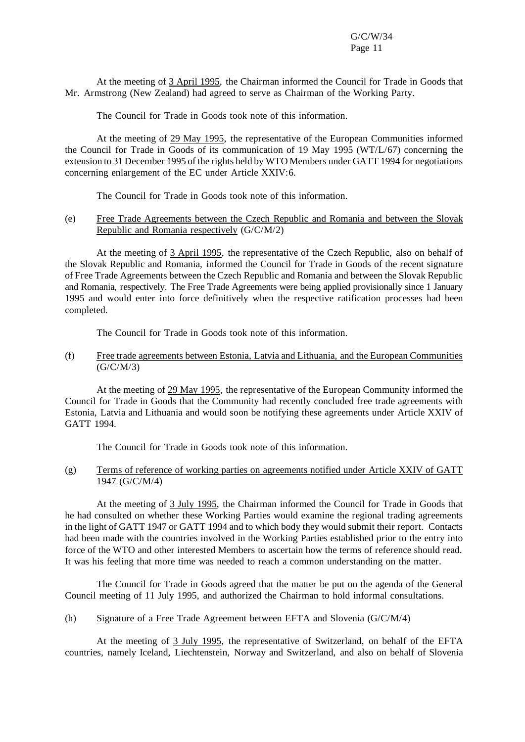At the meeting of 3 April 1995, the Chairman informed the Council for Trade in Goods that Mr. Armstrong (New Zealand) had agreed to serve as Chairman of the Working Party.

The Council for Trade in Goods took note of this information.

At the meeting of 29 May 1995, the representative of the European Communities informed the Council for Trade in Goods of its communication of 19 May 1995 (WT/L/67) concerning the extension to 31 December 1995 of the rights held by WTO Members under GATT 1994 for negotiations concerning enlargement of the EC under Article XXIV:6.

The Council for Trade in Goods took note of this information.

#### (e) Free Trade Agreements between the Czech Republic and Romania and between the Slovak Republic and Romania respectively (G/C/M/2)

At the meeting of 3 April 1995, the representative of the Czech Republic, also on behalf of the Slovak Republic and Romania, informed the Council for Trade in Goods of the recent signature of Free Trade Agreements between the Czech Republic and Romania and between the Slovak Republic and Romania, respectively. The Free Trade Agreements were being applied provisionally since 1 January 1995 and would enter into force definitively when the respective ratification processes had been completed.

The Council for Trade in Goods took note of this information.

#### (f) Free trade agreements between Estonia, Latvia and Lithuania, and the European Communities (G/C/M/3)

At the meeting of 29 May 1995, the representative of the European Community informed the Council for Trade in Goods that the Community had recently concluded free trade agreements with Estonia, Latvia and Lithuania and would soon be notifying these agreements under Article XXIV of GATT 1994.

The Council for Trade in Goods took note of this information.

## (g) Terms of reference of working parties on agreements notified under Article XXIV of GATT 1947 (G/C/M/4)

At the meeting of 3 July 1995, the Chairman informed the Council for Trade in Goods that he had consulted on whether these Working Parties would examine the regional trading agreements in the light of GATT 1947 or GATT 1994 and to which body they would submit their report. Contacts had been made with the countries involved in the Working Parties established prior to the entry into force of the WTO and other interested Members to ascertain how the terms of reference should read. It was his feeling that more time was needed to reach a common understanding on the matter.

The Council for Trade in Goods agreed that the matter be put on the agenda of the General Council meeting of 11 July 1995, and authorized the Chairman to hold informal consultations.

### (h) Signature of a Free Trade Agreement between EFTA and Slovenia (G/C/M/4)

At the meeting of 3 July 1995, the representative of Switzerland, on behalf of the EFTA countries, namely Iceland, Liechtenstein, Norway and Switzerland, and also on behalf of Slovenia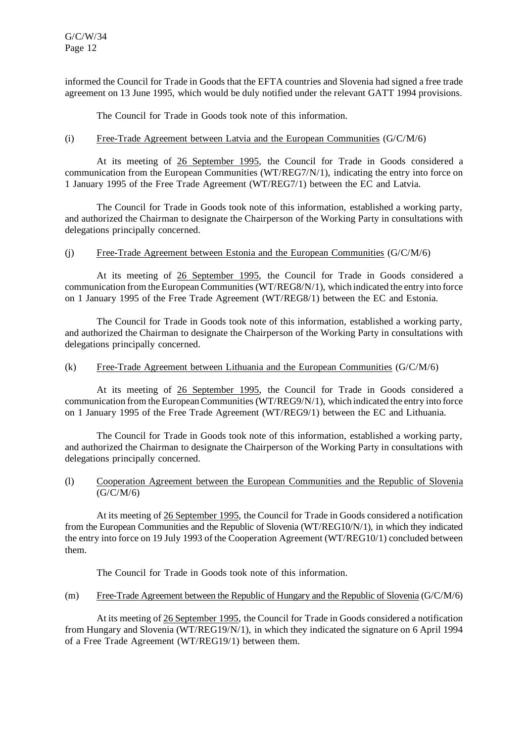informed the Council for Trade in Goods that the EFTA countries and Slovenia had signed a free trade agreement on 13 June 1995, which would be duly notified under the relevant GATT 1994 provisions.

The Council for Trade in Goods took note of this information.

## (i) Free-Trade Agreement between Latvia and the European Communities (G/C/M/6)

At its meeting of 26 September 1995, the Council for Trade in Goods considered a communication from the European Communities (WT/REG7/N/1), indicating the entry into force on 1 January 1995 of the Free Trade Agreement (WT/REG7/1) between the EC and Latvia.

The Council for Trade in Goods took note of this information, established a working party, and authorized the Chairman to designate the Chairperson of the Working Party in consultations with delegations principally concerned.

## (j) Free-Trade Agreement between Estonia and the European Communities (G/C/M/6)

At its meeting of 26 September 1995, the Council for Trade in Goods considered a communication from the European Communities (WT/REG8/N/1), which indicated the entry into force on 1 January 1995 of the Free Trade Agreement (WT/REG8/1) between the EC and Estonia.

The Council for Trade in Goods took note of this information, established a working party, and authorized the Chairman to designate the Chairperson of the Working Party in consultations with delegations principally concerned.

## (k) Free-Trade Agreement between Lithuania and the European Communities (G/C/M/6)

At its meeting of 26 September 1995, the Council for Trade in Goods considered a communication from the European Communities (WT/REG9/N/1), which indicated the entry into force on 1 January 1995 of the Free Trade Agreement (WT/REG9/1) between the EC and Lithuania.

The Council for Trade in Goods took note of this information, established a working party, and authorized the Chairman to designate the Chairperson of the Working Party in consultations with delegations principally concerned.

## (l) Cooperation Agreement between the European Communities and the Republic of Slovenia (G/C/M/6)

At its meeting of 26 September 1995, the Council for Trade in Goods considered a notification from the European Communities and the Republic of Slovenia (WT/REG10/N/1), in which they indicated the entry into force on 19 July 1993 of the Cooperation Agreement (WT/REG10/1) concluded between them.

The Council for Trade in Goods took note of this information.

## (m) Free-Trade Agreement between the Republic of Hungary and the Republic of Slovenia (G/C/M/6)

At its meeting of 26 September 1995, the Council for Trade in Goods considered a notification from Hungary and Slovenia (WT/REG19/N/1), in which they indicated the signature on 6 April 1994 of a Free Trade Agreement (WT/REG19/1) between them.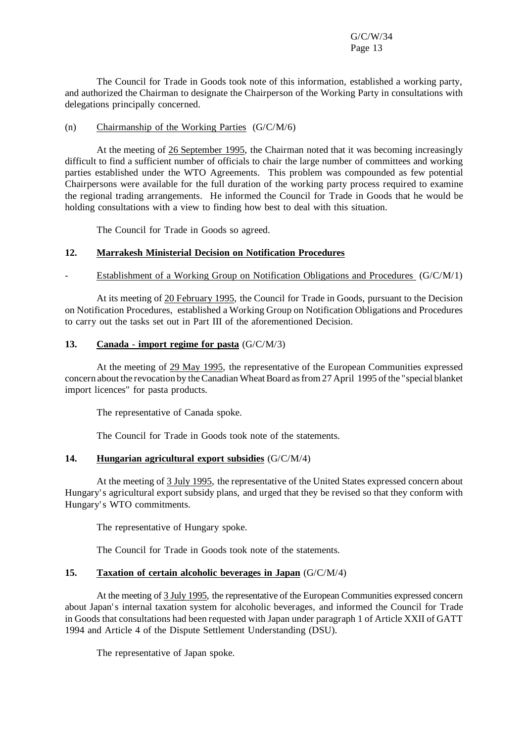The Council for Trade in Goods took note of this information, established a working party, and authorized the Chairman to designate the Chairperson of the Working Party in consultations with delegations principally concerned.

### (n) Chairmanship of the Working Parties (G/C/M/6)

At the meeting of 26 September 1995, the Chairman noted that it was becoming increasingly difficult to find a sufficient number of officials to chair the large number of committees and working parties established under the WTO Agreements. This problem was compounded as few potential Chairpersons were available for the full duration of the working party process required to examine the regional trading arrangements. He informed the Council for Trade in Goods that he would be holding consultations with a view to finding how best to deal with this situation.

The Council for Trade in Goods so agreed.

### **12. Marrakesh Ministerial Decision on Notification Procedures**

#### Establishment of a Working Group on Notification Obligations and Procedures (G/C/M/1)

At its meeting of 20 February 1995, the Council for Trade in Goods, pursuant to the Decision on Notification Procedures, established a Working Group on Notification Obligations and Procedures to carry out the tasks set out in Part III of the aforementioned Decision.

## **13. Canada** - **import regime for pasta** (G/C/M/3)

At the meeting of 29 May 1995, the representative of the European Communities expressed concern about the revocation by theCanadian WheatBoard asfrom27 April 1995 of the "special blanket import licences" for pasta products.

The representative of Canada spoke.

The Council for Trade in Goods took note of the statements.

## **14. Hungarian agricultural export subsidies** (G/C/M/4)

At the meeting of 3 July 1995, the representative of the United States expressed concern about Hungary's agricultural export subsidy plans, and urged that they be revised so that they conform with Hungary's WTO commitments.

The representative of Hungary spoke.

The Council for Trade in Goods took note of the statements.

### **15. Taxation of certain alcoholic beverages in Japan** (G/C/M/4)

At the meeting of 3 July 1995, the representative of the European Communities expressed concern about Japan's internal taxation system for alcoholic beverages, and informed the Council for Trade in Goods that consultations had been requested with Japan under paragraph 1 of Article XXII of GATT 1994 and Article 4 of the Dispute Settlement Understanding (DSU).

The representative of Japan spoke.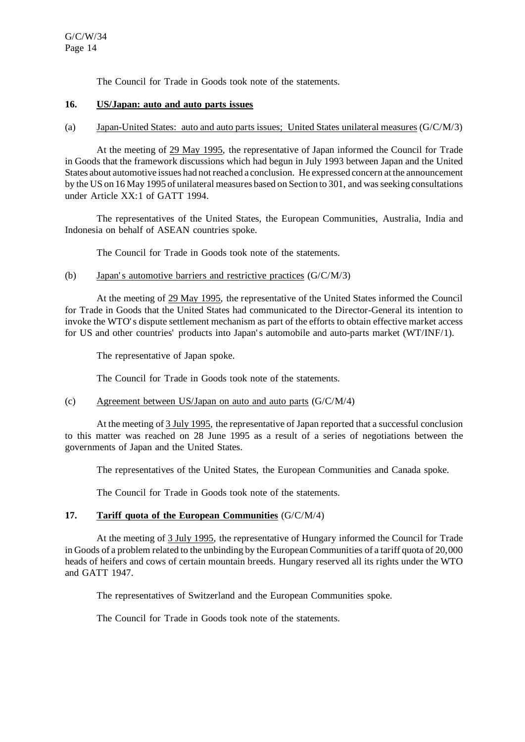The Council for Trade in Goods took note of the statements.

#### **16. US/Japan: auto and auto parts issues**

### (a) Japan-United States: auto and auto parts issues; United States unilateral measures (G/C/M/3)

At the meeting of 29 May 1995, the representative of Japan informed the Council for Trade in Goods that the framework discussions which had begun in July 1993 between Japan and the United States about automotive issues had notreached a conclusion. He expressed concern at the announcement by the US on 16 May 1995 of unilateral measures based on Section to 301, and wasseeking consultations under Article XX:1 of GATT 1994.

The representatives of the United States, the European Communities, Australia, India and Indonesia on behalf of ASEAN countries spoke.

The Council for Trade in Goods took note of the statements.

### (b) Japan's automotive barriers and restrictive practices (G/C/M/3)

At the meeting of 29 May 1995, the representative of the United States informed the Council for Trade in Goods that the United States had communicated to the Director-General its intention to invoke the WTO's dispute settlement mechanism as part of the efforts to obtain effective market access for US and other countries' products into Japan's automobile and auto-parts market (WT/INF/1).

The representative of Japan spoke.

The Council for Trade in Goods took note of the statements.

#### (c) Agreement between US/Japan on auto and auto parts (G/C/M/4)

At the meeting of 3 July 1995, the representative of Japan reported that a successful conclusion to this matter was reached on 28 June 1995 as a result of a series of negotiations between the governments of Japan and the United States.

The representatives of the United States, the European Communities and Canada spoke.

The Council for Trade in Goods took note of the statements.

# **17. Tariff quota of the European Communities** (G/C/M/4)

At the meeting of 3 July 1995, the representative of Hungary informed the Council for Trade in Goods of a problem related to the unbinding by the European Communities of a tariff quota of 20,000 heads of heifers and cows of certain mountain breeds. Hungary reserved all its rights under the WTO and GATT 1947.

The representatives of Switzerland and the European Communities spoke.

The Council for Trade in Goods took note of the statements.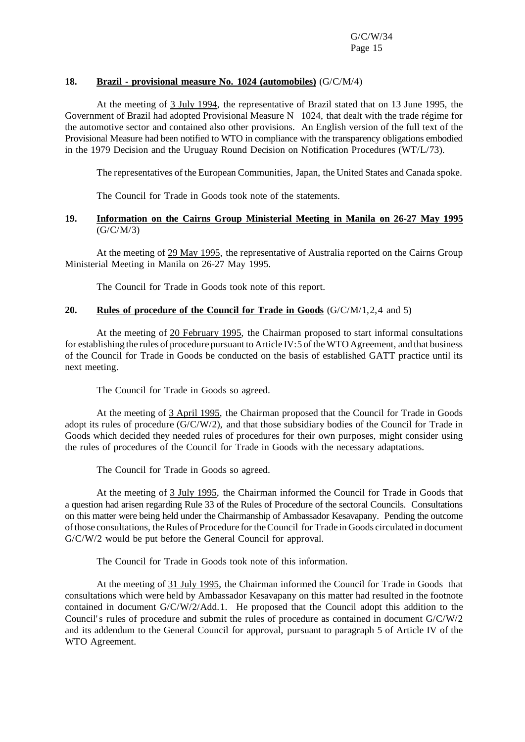## **18. Brazil - provisional measure No. 1024 (automobiles)** (G/C/M/4)

At the meeting of 3 July 1994, the representative of Brazil stated that on 13 June 1995, the Government of Brazil had adopted Provisional Measure N 1024, that dealt with the trade régime for the automotive sector and contained also other provisions. An English version of the full text of the Provisional Measure had been notified to WTO in compliance with the transparency obligations embodied in the 1979 Decision and the Uruguay Round Decision on Notification Procedures (WT/L/73).

The representatives of the European Communities, Japan, the United States and Canada spoke.

The Council for Trade in Goods took note of the statements.

## **19. Information on the Cairns Group Ministerial Meeting in Manila on 26-27 May 1995**  $(G/C/M/3)$

At the meeting of 29 May 1995, the representative of Australia reported on the Cairns Group Ministerial Meeting in Manila on 26-27 May 1995.

The Council for Trade in Goods took note of this report.

### **20. Rules of procedure of the Council for Trade in Goods** (G/C/M/1,2,4 and 5)

At the meeting of 20 February 1995, the Chairman proposed to start informal consultations for establishing the rules of procedure pursuant to Article IV:5 of theWTO Agreement, and that business of the Council for Trade in Goods be conducted on the basis of established GATT practice until its next meeting.

The Council for Trade in Goods so agreed.

At the meeting of 3 April 1995, the Chairman proposed that the Council for Trade in Goods adopt its rules of procedure (G/C/W/2), and that those subsidiary bodies of the Council for Trade in Goods which decided they needed rules of procedures for their own purposes, might consider using the rules of procedures of the Council for Trade in Goods with the necessary adaptations.

The Council for Trade in Goods so agreed.

At the meeting of 3 July 1995, the Chairman informed the Council for Trade in Goods that a question had arisen regarding Rule 33 of the Rules of Procedure of the sectoral Councils. Consultations on this matter were being held under the Chairmanship of Ambassador Kesavapany. Pending the outcome of those consultations, the Rules of Procedure for the Council for Trade in Goods circulated in document G/C/W/2 would be put before the General Council for approval.

The Council for Trade in Goods took note of this information.

At the meeting of 31 July 1995, the Chairman informed the Council for Trade in Goods that consultations which were held by Ambassador Kesavapany on this matter had resulted in the footnote contained in document G/C/W/2/Add.1. He proposed that the Council adopt this addition to the Council's rules of procedure and submit the rules of procedure as contained in document G/C/W/2 and its addendum to the General Council for approval, pursuant to paragraph 5 of Article IV of the WTO Agreement.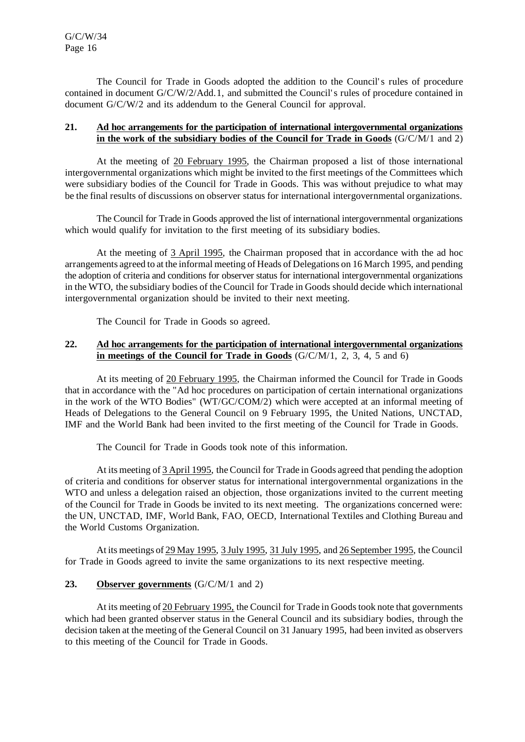The Council for Trade in Goods adopted the addition to the Council's rules of procedure contained in document G/C/W/2/Add.1, and submitted the Council's rules of procedure contained in document G/C/W/2 and its addendum to the General Council for approval.

## **21. Ad hoc arrangements for the participation of international intergovernmental organizations in the work of the subsidiary bodies of the Council for Trade in Goods** (G/C/M/1 and 2)

At the meeting of 20 February 1995, the Chairman proposed a list of those international intergovernmental organizations which might be invited to the first meetings of the Committees which were subsidiary bodies of the Council for Trade in Goods. This was without prejudice to what may be the final results of discussions on observer status for international intergovernmental organizations.

The Council for Trade in Goods approved the list of international intergovernmental organizations which would qualify for invitation to the first meeting of its subsidiary bodies.

At the meeting of 3 April 1995, the Chairman proposed that in accordance with the ad hoc arrangements agreed to at the informal meeting of Heads of Delegations on 16 March 1995, and pending the adoption of criteria and conditions for observerstatus for international intergovernmental organizations in the WTO, the subsidiary bodies of the Council for Trade in Goods should decide which international intergovernmental organization should be invited to their next meeting.

The Council for Trade in Goods so agreed.

## **22. Ad hoc arrangements for the participation of international intergovernmental organizations in meetings of the Council for Trade in Goods** (G/C/M/1, 2, 3, 4, 5 and 6)

At its meeting of 20 February 1995, the Chairman informed the Council for Trade in Goods that in accordance with the "Ad hoc procedures on participation of certain international organizations in the work of the WTO Bodies" (WT/GC/COM/2) which were accepted at an informal meeting of Heads of Delegations to the General Council on 9 February 1995, the United Nations, UNCTAD, IMF and the World Bank had been invited to the first meeting of the Council for Trade in Goods.

The Council for Trade in Goods took note of this information.

At its meeting of 3 April 1995, the Council for Trade in Goods agreed that pending the adoption of criteria and conditions for observer status for international intergovernmental organizations in the WTO and unless a delegation raised an objection, those organizations invited to the current meeting of the Council for Trade in Goods be invited to its next meeting. The organizations concerned were: the UN, UNCTAD, IMF, World Bank, FAO, OECD, International Textiles and Clothing Bureau and the World Customs Organization.

At its meetings of 29 May 1995, 3 July 1995, 31 July 1995, and 26 September 1995, the Council for Trade in Goods agreed to invite the same organizations to its next respective meeting.

# **23. Observer governments** (G/C/M/1 and 2)

At its meeting of 20 February 1995, the Council for Trade in Goods took note that governments which had been granted observer status in the General Council and its subsidiary bodies, through the decision taken at the meeting of the General Council on 31 January 1995, had been invited as observers to this meeting of the Council for Trade in Goods.